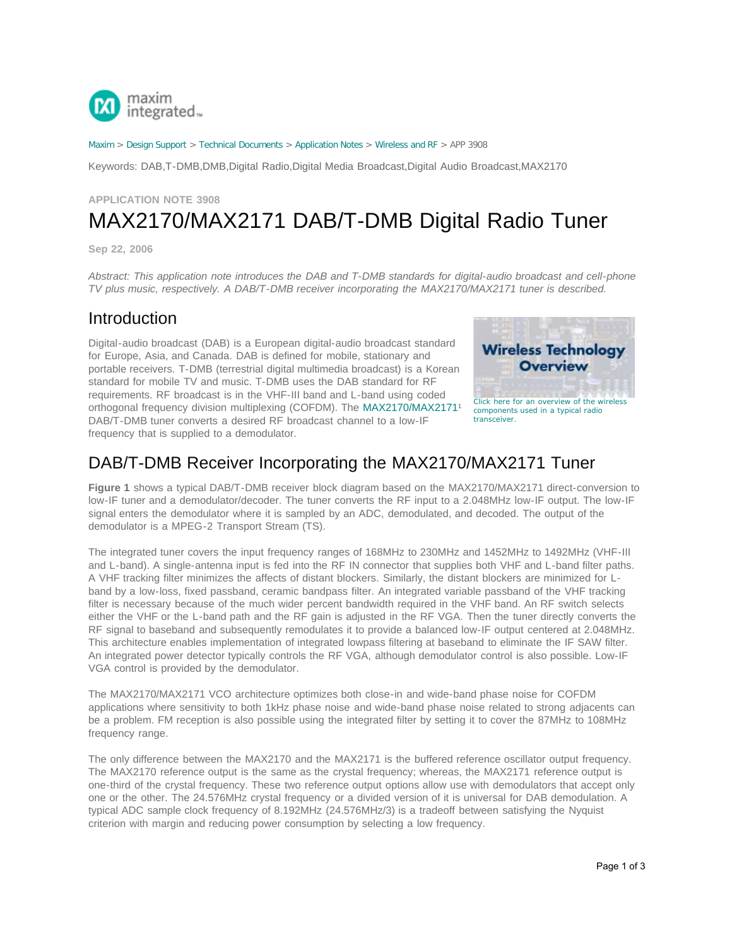

[Maxim](http://www.maximintegrated.com/) > [Design Support](http://www.maximintegrated.com/design/) > [Technical Documents](http://www.maximintegrated.com/design/techdocs/) > [Application Notes](http://www.maximintegrated.com/design/techdocs/app-notes/index.mvp) > [Wireless and RF](http://www.maximintegrated.com/design/techdocs/app-notes/index.mvp/id/38/c/Wireless%20and%20RF#c38) > APP 3908

Keywords: DAB,T-DMB,DMB,Digital Radio,Digital Media Broadcast,Digital Audio Broadcast,MAX2170

# **APPLICATION NOTE 3908** MAX2170/MAX2171 DAB/T-DMB Digital Radio Tuner

**Sep 22, 2006**

*Abstract: This application note introduces the DAB and T-DMB standards for digital-audio broadcast and cell-phone TV plus music, respectively. A DAB/T-DMB receiver incorporating the MAX2170/MAX2171 tuner is described.*

### Introduction

Digital-audio broadcast (DAB) is a European digital-audio broadcast standard for Europe, Asia, and Canada. DAB is defined for mobile, stationary and portable receivers. T-DMB (terrestrial digital multimedia broadcast) is a Korean standard for mobile TV and music. T-DMB uses the DAB standard for RF requirements. RF broadcast is in the VHF-III band and L-band using coded orthogonal frequency division multiplexing (COFDM). The MAX2170/MAX2171<sup>1</sup> DAB/T-DMB tuner converts a desired RF broadcast channel to a low-IF frequency that is supplied to a demodulator.



### DAB/T-DMB Receiver Incorporating the MAX2170/MAX2171 Tuner

**Figure 1** shows a typical DAB/T-DMB receiver block diagram based on the MAX2170/MAX2171 direct-conversion to low-IF tuner and a demodulator/decoder. The tuner converts the RF input to a 2.048MHz low-IF output. The low-IF signal enters the demodulator where it is sampled by an ADC, demodulated, and decoded. The output of the demodulator is a MPEG-2 Transport Stream (TS).

The integrated tuner covers the input frequency ranges of 168MHz to 230MHz and 1452MHz to 1492MHz (VHF-III and L-band). A single-antenna input is fed into the RF IN connector that supplies both VHF and L-band filter paths. A VHF tracking filter minimizes the affects of distant blockers. Similarly, the distant blockers are minimized for Lband by a low-loss, fixed passband, ceramic bandpass filter. An integrated variable passband of the VHF tracking filter is necessary because of the much wider percent bandwidth required in the VHF band. An RF switch selects either the VHF or the L-band path and the RF gain is adjusted in the RF VGA. Then the tuner directly converts the RF signal to baseband and subsequently remodulates it to provide a balanced low-IF output centered at 2.048MHz. This architecture enables implementation of integrated lowpass filtering at baseband to eliminate the IF SAW filter. An integrated power detector typically controls the RF VGA, although demodulator control is also possible. Low-IF VGA control is provided by the demodulator.

The MAX2170/MAX2171 VCO architecture optimizes both close-in and wide-band phase noise for COFDM applications where sensitivity to both 1kHz phase noise and wide-band phase noise related to strong adjacents can be a problem. FM reception is also possible using the integrated filter by setting it to cover the 87MHz to 108MHz frequency range.

The only difference between the MAX2170 and the MAX2171 is the buffered reference oscillator output frequency. The MAX2170 reference output is the same as the crystal frequency; whereas, the MAX2171 reference output is one-third of the crystal frequency. These two reference output options allow use with demodulators that accept only one or the other. The 24.576MHz crystal frequency or a divided version of it is universal for DAB demodulation. A typical ADC sample clock frequency of 8.192MHz (24.576MHz/3) is a tradeoff between satisfying the Nyquist criterion with margin and reducing power consumption by selecting a low frequency.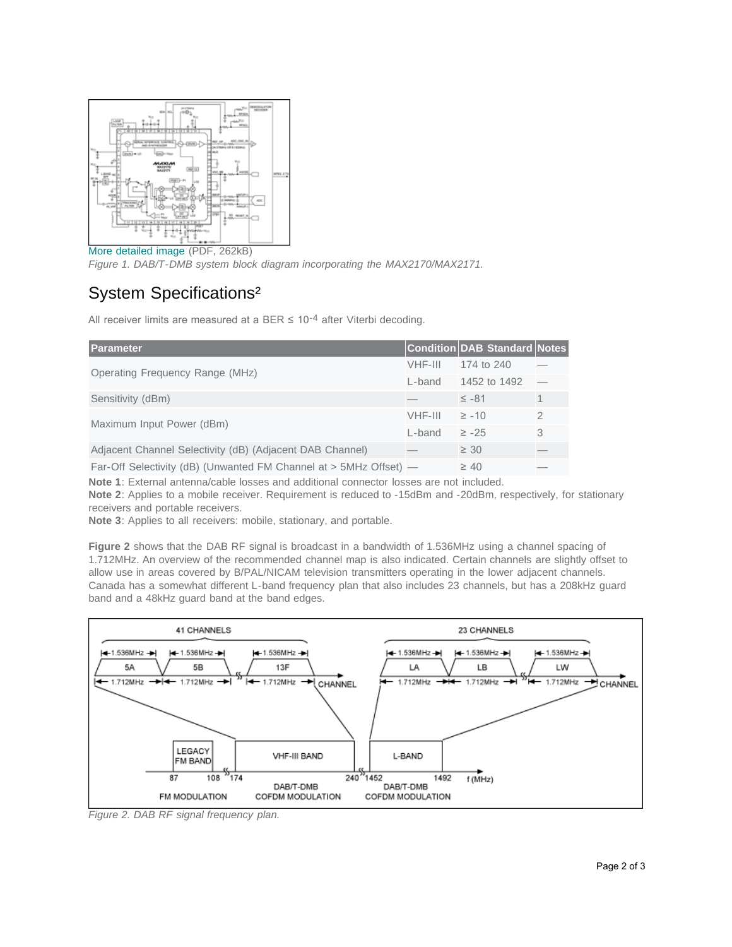

[More detailed image](http://www.maximintegrated.com/images/appnotes/3908/3908Fig01.pdf) (PDF, 262kB) *Figure 1. DAB/T-DMB system block diagram incorporating the MAX2170/MAX2171.*

## System Specifications²

All receiver limits are measured at a BER  $\leq$  10-4 after Viterbi decoding.

| Parameter                                                         |         | <b>Condition DAB Standard Notes</b> |               |
|-------------------------------------------------------------------|---------|-------------------------------------|---------------|
| Operating Frequency Range (MHz)                                   | VHF-III | 174 to 240                          |               |
|                                                                   | L-band  | 1452 to 1492                        |               |
| Sensitivity (dBm)                                                 |         | $\leq -81$                          | $\mathbf{1}$  |
| Maximum Input Power (dBm)                                         | VHF-III | $\geq -10$                          | $\mathcal{P}$ |
|                                                                   | L-band  | $\geq -25$                          | 3             |
| Adjacent Channel Selectivity (dB) (Adjacent DAB Channel)          |         | $\geq 30$                           |               |
| Far-Off Selectivity (dB) (Unwanted FM Channel at > 5MHz Offset) — |         | $\geq 40$                           |               |

**Note 1**: External antenna/cable losses and additional connector losses are not included.

**Note 2**: Applies to a mobile receiver. Requirement is reduced to -15dBm and -20dBm, respectively, for stationary receivers and portable receivers.

**Note 3**: Applies to all receivers: mobile, stationary, and portable.

**Figure 2** shows that the DAB RF signal is broadcast in a bandwidth of 1.536MHz using a channel spacing of 1.712MHz. An overview of the recommended channel map is also indicated. Certain channels are slightly offset to allow use in areas covered by B/PAL/NICAM television transmitters operating in the lower adjacent channels. Canada has a somewhat different L-band frequency plan that also includes 23 channels, but has a 208kHz guard band and a 48kHz guard band at the band edges.



*Figure 2. DAB RF signal frequency plan.*